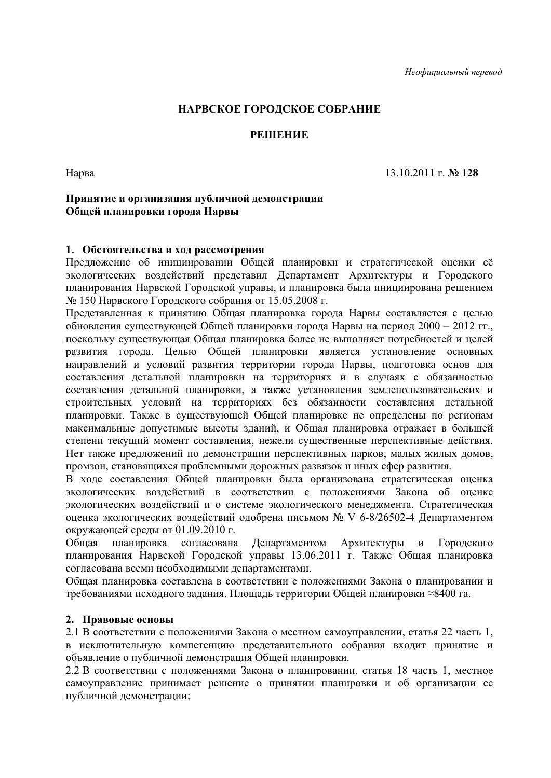## НАРВСКОЕ ГОРОДСКОЕ СОБРАНИЕ

### **PEIIIEHUE**

Нарва

 $13.10.2011$  r. No 128

#### Принятие и организация публичной демонстрации Общей планировки города Нарвы

#### 1. Обстоятельства и ход рассмотрения

Предложение об инициировании Общей планировки и стратегической оценки её экологических воздействий представил Департамент Архитектуры и Городского планирования Нарвской Городской управы, и планировка была инициирована решением № 150 Нарвского Городского собрания от 15.05.2008 г.

Представленная к принятию Общая планировка города Нарвы составляется с целью обновления существующей Общей планировки города Нарвы на период 2000 - 2012 гг., поскольку существующая Общая планировка более не выполняет потребностей и целей развития города. Целью Общей планировки является установление основных направлений и условий развития территории города Нарвы, подготовка основ для составления детальной планировки на территориях и в случаях с обязанностью составления детальной планировки, а также установления землепользовательских и строительных условий на территориях без обязанности составления детальной планировки. Также в существующей Общей планировке не определены по регионам максимальные допустимые высоты зданий, и Общая планировка отражает в большей степени текуший момент составления, нежели существенные перспективные лействия. Нет также предложений по демонстрации перспективных парков, малых жилых домов, промзон, становящихся проблемными дорожных развязок и иных сфер развития.

В ходе составления Общей планировки была организована стратегическая оценка экологических воздействий в соответствии с положениями Закона об оценке экологических воздействий и о системе экологического менеджмента. Стратегическая оценка экологических воздействий одобрена письмом № V 6-8/26502-4 Департаментом окружающей среды от 01.09.2010 г.

Обшая планировка согласована Департаментом Архитектуры Городского  $\mathbf{M}$ планирования Нарвской Городской управы 13.06.2011 г. Также Общая планировка согласована всеми необходимыми департаментами.

Общая планировка составлена в соответствии с положениями Закона о планировании и требованиями исходного задания. Плошадь территории Обшей планировки ≈8400 га.

#### 2. Правовые основы

2.1 В соответствии с положениями Закона о местном самоуправлении, статья 22 часть 1. в исключительную компетенцию представительного собрания входит принятие и объявление о публичной демонстрация Общей планировки.

2.2 В соответствии с положениями Закона о планировании, статья 18 часть 1, местное самоуправление принимает решение о принятии планировки и об организации ее публичной демонстрации: